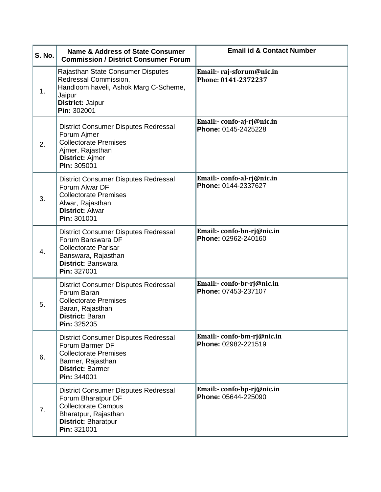| S. No. | <b>Name &amp; Address of State Consumer</b><br><b>Commission / District Consumer Forum</b>                                                                           | <b>Email id &amp; Contact Number</b>              |
|--------|----------------------------------------------------------------------------------------------------------------------------------------------------------------------|---------------------------------------------------|
| 1.     | Rajasthan State Consumer Disputes<br>Redressal Commission,<br>Handloom haveli, Ashok Marg C-Scheme,<br>Jaipur<br>District: Jaipur<br>Pin: 302001                     | Email:- raj-sforum@nic.in<br>Phone: 0141-2372237  |
| 2.     | District Consumer Disputes Redressal<br>Forum Ajmer<br><b>Collectorate Premises</b><br>Ajmer, Rajasthan<br><b>District: Ajmer</b><br>Pin: 305001                     | Email:- confo-aj-rj@nic.in<br>Phone: 0145-2425228 |
| 3.     | District Consumer Disputes Redressal<br>Forum Alwar DF<br><b>Collectorate Premises</b><br>Alwar, Rajasthan<br><b>District: Alwar</b><br>Pin: 301001                  | Email:- confo-al-rj@nic.in<br>Phone: 0144-2337627 |
| 4.     | <b>District Consumer Disputes Redressal</b><br>Forum Banswara DF<br><b>Collectorate Parisar</b><br>Banswara, Rajasthan<br><b>District: Banswara</b><br>Pin: 327001   | Email:- confo-bn-rj@nic.in<br>Phone: 02962-240160 |
| 5.     | <b>District Consumer Disputes Redressal</b><br>Forum Baran<br><b>Collectorate Premises</b><br>Baran, Rajasthan<br><b>District: Baran</b><br>Pin: 325205              | Email:- confo-br-rj@nic.in<br>Phone: 07453-237107 |
| 6.     | <b>District Consumer Disputes Redressal</b><br>Forum Barmer DF<br><b>Collectorate Premises</b><br>Barmer, Rajasthan<br><b>District: Barmer</b><br>Pin: 344001        | Email:- confo-bm-rj@nic.in<br>Phone: 02982-221519 |
| 7.     | <b>District Consumer Disputes Redressal</b><br>Forum Bharatpur DF<br><b>Collectorate Campus</b><br>Bharatpur, Rajasthan<br><b>District: Bharatpur</b><br>Pin: 321001 | Email:-confo-bp-rj@nic.in<br>Phone: 05644-225090  |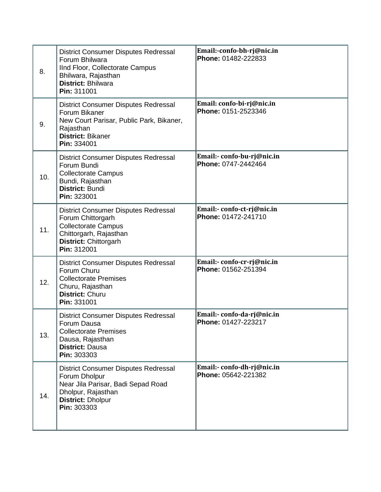| 8.  | <b>District Consumer Disputes Redressal</b><br>Forum Bhilwara<br>IInd Floor, Collectorate Campus<br>Bhilwara, Rajasthan<br><b>District: Bhilwara</b><br>Pin: 311001 | Email:-confo-bh-rj@nic.in<br>Phone: 01482-222833  |
|-----|---------------------------------------------------------------------------------------------------------------------------------------------------------------------|---------------------------------------------------|
| 9.  | <b>District Consumer Disputes Redressal</b><br>Forum Bikaner<br>New Court Parisar, Public Park, Bikaner,<br>Rajasthan<br>District: Bikaner<br>Pin: 334001           | Email: confo-bi-rj@nic.in<br>Phone: 0151-2523346  |
| 10. | <b>District Consumer Disputes Redressal</b><br>Forum Bundi<br><b>Collectorate Campus</b><br>Bundi, Rajasthan<br><b>District: Bundi</b><br>Pin: 323001               | Email:- confo-bu-rj@nic.in<br>Phone: 0747-2442464 |
| 11. | <b>District Consumer Disputes Redressal</b><br>Forum Chittorgarh<br><b>Collectorate Campus</b><br>Chittorgarh, Rajasthan<br>District: Chittorgarh<br>Pin: 312001    | Email:- confo-ct-rj@nic.in<br>Phone: 01472-241710 |
| 12. | <b>District Consumer Disputes Redressal</b><br>Forum Churu<br><b>Collectorate Premises</b><br>Churu, Rajasthan<br><b>District: Churu</b><br>Pin: 331001             | Email:- confo-cr-rj@nic.in<br>Phone: 01562-251394 |
| 13. | <b>District Consumer Disputes Redressal</b><br>Forum Dausa<br><b>Collectorate Premises</b><br>Dausa, Rajasthan<br><b>District: Dausa</b><br>Pin: 303303             | Email:- confo-da-rj@nic.in<br>Phone: 01427-223217 |
| 14. | <b>District Consumer Disputes Redressal</b><br>Forum Dholpur<br>Near Jila Parisar, Badi Sepad Road<br>Dholpur, Rajasthan<br><b>District: Dholpur</b><br>Pin: 303303 | Email:- confo-dh-rj@nic.in<br>Phone: 05642-221382 |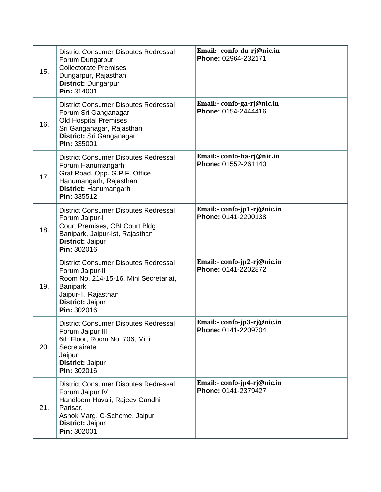| 15. | <b>District Consumer Disputes Redressal</b><br>Forum Dungarpur<br><b>Collectorate Premises</b><br>Dungarpur, Rajasthan<br>District: Dungarpur<br>Pin: 314001                          | Email:- confo-du-rj@nic.in<br>Phone: 02964-232171  |
|-----|---------------------------------------------------------------------------------------------------------------------------------------------------------------------------------------|----------------------------------------------------|
| 16. | District Consumer Disputes Redressal<br>Forum Sri Ganganagar<br><b>Old Hospital Premises</b><br>Sri Ganganagar, Rajasthan<br>District: Sri Ganganagar<br>Pin: 335001                  | Email:- confo-ga-rj@nic.in<br>Phone: 0154-2444416  |
| 17. | <b>District Consumer Disputes Redressal</b><br>Forum Hanumangarh<br>Graf Road, Opp. G.P.F. Office<br>Hanumangarh, Rajasthan<br>District: Hanumangarh<br>Pin: 335512                   | Email:- confo-ha-rj@nic.in<br>Phone: 01552-261140  |
| 18. | District Consumer Disputes Redressal<br>Forum Jaipur-I<br>Court Premises, CBI Court Bldg<br>Banipark, Jaipur-Ist, Rajasthan<br>District: Jaipur<br>Pin: 302016                        | Email:- confo-jp1-rj@nic.in<br>Phone: 0141-2200138 |
| 19. | <b>District Consumer Disputes Redressal</b><br>Forum Jaipur-II<br>Room No. 214-15-16, Mini Secretariat,<br><b>Banipark</b><br>Jaipur-II, Rajasthan<br>District: Jaipur<br>Pin: 302016 | Email:- confo-jp2-rj@nic.in<br>Phone: 0141-2202872 |
| 20. | <b>District Consumer Disputes Redressal</b><br>Forum Jaipur III<br>6th Floor, Room No. 706, Mini<br>Secretairate<br>Jaipur<br>District: Jaipur<br>Pin: 302016                         | Email:- confo-jp3-rj@nic.in<br>Phone: 0141-2209704 |
| 21. | <b>District Consumer Disputes Redressal</b><br>Forum Jaipur IV<br>Handloom Havali, Rajeev Gandhi<br>Parisar,<br>Ashok Marg, C-Scheme, Jaipur<br>District: Jaipur<br>Pin: 302001       | Email:- confo-jp4-rj@nic.in<br>Phone: 0141-2379427 |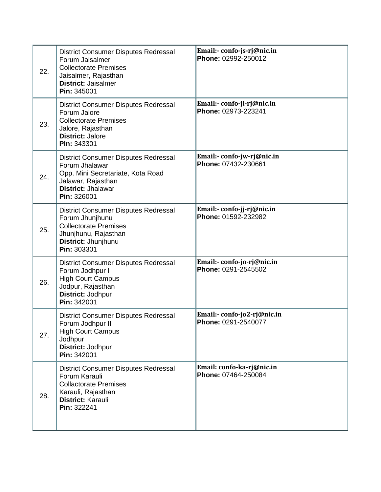| 22. | <b>District Consumer Disputes Redressal</b><br>Forum Jaisalmer<br><b>Collectorate Premises</b><br>Jaisalmer, Rajasthan<br><b>District: Jaisalmer</b><br>Pin: 345001  | Email:- confo-js-rj@nic.in<br>Phone: 02992-250012  |
|-----|----------------------------------------------------------------------------------------------------------------------------------------------------------------------|----------------------------------------------------|
| 23. | <b>District Consumer Disputes Redressal</b><br>Forum Jalore<br><b>Collectorate Premises</b><br>Jalore, Rajasthan<br><b>District: Jalore</b><br>Pin: 343301           | Email:- confo-jl-rj@nic.in<br>Phone: 02973-223241  |
| 24. | <b>District Consumer Disputes Redressal</b><br>Forum Jhalawar<br>Opp. Mini Secretariate, Kota Road<br>Jalawar, Rajasthan<br><b>District: Jhalawar</b><br>Pin: 326001 | Email:- confo-jw-rj@nic.in<br>Phone: 07432-230661  |
| 25. | <b>District Consumer Disputes Redressal</b><br>Forum Jhunjhunu<br><b>Collectorate Premises</b><br>Jhunjhunu, Rajasthan<br>District: Jhunjhunu<br>Pin: 303301         | Email:- confo-jj-rj@nic.in<br>Phone: 01592-232982  |
| 26. | <b>District Consumer Disputes Redressal</b><br>Forum Jodhpur I<br><b>High Court Campus</b><br>Jodpur, Rajasthan<br>District: Jodhpur<br>Pin: 342001                  | Email:- confo-jo-rj@nic.in<br>Phone: 0291-2545502  |
| 27. | <b>District Consumer Disputes Redressal</b><br>Forum Jodhpur II<br><b>High Court Campus</b><br>Jodhpur<br>District: Jodhpur<br>Pin: 342001                           | Email:- confo-jo2-rj@nic.in<br>Phone: 0291-2540077 |
| 28. | <b>District Consumer Disputes Redressal</b><br>Forum Karauli<br><b>Collactorate Premises</b><br>Karauli, Rajasthan<br>District: Karauli<br>Pin: 322241               | Email: confo-ka-rj@nic.in<br>Phone: 07464-250084   |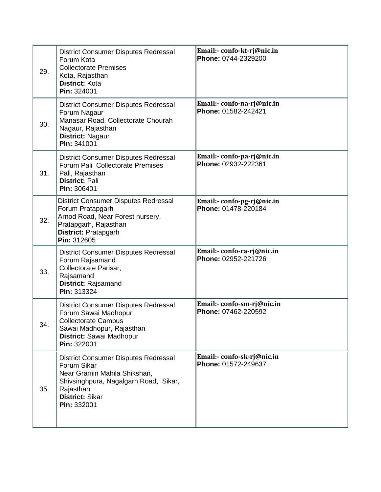| 29. | <b>District Consumer Disputes Redressal</b><br>Forum Kota<br><b>Collectorate Premises</b><br>Kota, Rajasthan<br>District: Kota<br>Pin: 324001                                      | Email:- confo-kt-rj@nic.in<br>Phone: 0744-2329200 |
|-----|------------------------------------------------------------------------------------------------------------------------------------------------------------------------------------|---------------------------------------------------|
| 30. | <b>District Consumer Disputes Redressal</b><br>Forum Nagaur<br>Manasar Road, Collectorate Chourah<br>Nagaur, Rajasthan<br>District: Nagaur<br>Pin: 341001                          | Email:- confo-na-rj@nic.in<br>Phone: 01582-242421 |
| 31. | <b>District Consumer Disputes Redressal</b><br>Forum Pali Collectorate Premises<br>Pali, Rajasthan<br><b>District: Pali</b><br>Pin: 306401                                         | Email:- confo-pa-rj@nic.in<br>Phone: 02932-222361 |
| 32. | <b>District Consumer Disputes Redressal</b><br>Forum Pratapgarh<br>Arnod Road, Near Forest nursery,<br>Pratapgarh, Rajasthan<br>District: Pratapgarh<br>Pin: 312605                | Email:- confo-pg-rj@nic.in<br>Phone: 01478-220184 |
| 33. | <b>District Consumer Disputes Redressal</b><br>Forum Rajsamand<br>Collectorate Parisar,<br>Rajsamand<br>District: Rajsamand<br>Pin: 313324                                         | Email:- confo-ra-rj@nic.in<br>Phone: 02952-221726 |
| 34. | <b>District Consumer Disputes Redressal</b><br>Forum Sawai Madhopur<br><b>Collectorate Campus</b><br>Sawai Madhopur, Rajasthan<br>District: Sawai Madhopur<br>Pin: 322001          | Email:- confo-sm-rj@nic.in<br>Phone: 07462-220592 |
| 35. | <b>District Consumer Disputes Redressal</b><br>Forum Sikar<br>Near Gramin Mahila Shikshan,<br>Shivsinghpura, Nagalgarh Road, Sikar,<br>Rajasthan<br>District: Sikar<br>Pin: 332001 | Email:- confo-sk-rj@nic.in<br>Phone: 01572-249637 |